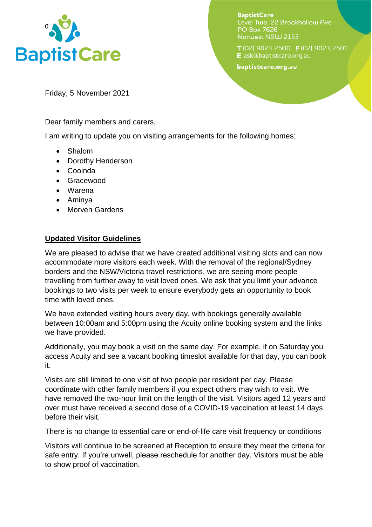

**BaptistCare** Level Two, 22 Brookhollow Ave **PO Box 7626** Norwest NSW 2153

T (02) 9023 2500 F (02) 9023 2501 E ask@baptistcare.org.au

baptistcare.org.au

Friday, 5 November 2021

Dear family members and carers,

I am writing to update you on visiting arrangements for the following homes:

- Shalom
- Dorothy Henderson
- Cooinda
- Gracewood
- Warena
- Aminya
- Morven Gardens

## **Updated Visitor Guidelines**

We are pleased to advise that we have created additional visiting slots and can now accommodate more visitors each week. With the removal of the regional/Sydney borders and the NSW/Victoria travel restrictions, we are seeing more people travelling from further away to visit loved ones. We ask that you limit your advance bookings to two visits per week to ensure everybody gets an opportunity to book time with loved ones.

We have extended visiting hours every day, with bookings generally available between 10:00am and 5:00pm using the Acuity online booking system and the links we have provided.

Additionally, you may book a visit on the same day. For example, if on Saturday you access Acuity and see a vacant booking timeslot available for that day, you can book it.

Visits are still limited to one visit of two people per resident per day. Please coordinate with other family members if you expect others may wish to visit. We have removed the two-hour limit on the length of the visit. Visitors aged 12 years and over must have received a second dose of a COVID-19 vaccination at least 14 days before their visit.

There is no change to essential care or end-of-life care visit frequency or conditions

Visitors will continue to be screened at Reception to ensure they meet the criteria for safe entry. If you're unwell, please reschedule for another day. Visitors must be able to show proof of vaccination.